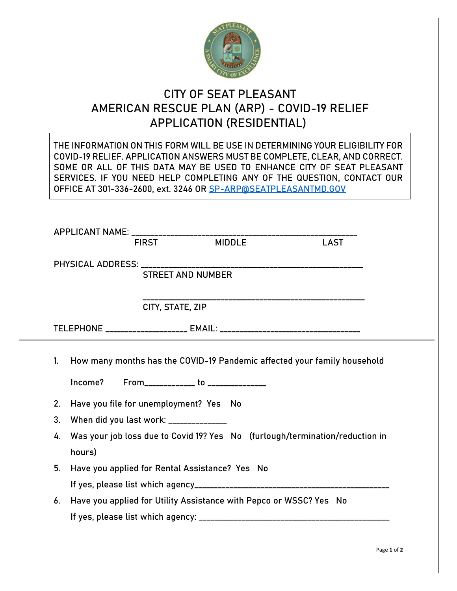

## **CITY OF SEAT PLEASANT AMERICAN RESCUE PLAN (ARP) - COVID-19 RELIEF APPLICATION (RESIDENTIAL)**

| THE INFORMATION ON THIS FORM WILL BE USE IN DETERMINING YOUR ELIGIBILITY FOR<br>COVID-19 RELIEF. APPLICATION ANSWERS MUST BE COMPLETE, CLEAR, AND CORRECT.<br>SOME OR ALL OF THIS DATA MAY BE USED TO ENHANCE CITY OF SEAT PLEASANT<br>SERVICES. IF YOU NEED HELP COMPLETING ANY OF THE QUESTION, CONTACT OUR<br>OFFICE AT 301-336-2600, ext. 3246 OR SP-ARP@SEATPLEASANTMD.GOV |                                                                                                                          |  |             |  |  |  |  |  |
|---------------------------------------------------------------------------------------------------------------------------------------------------------------------------------------------------------------------------------------------------------------------------------------------------------------------------------------------------------------------------------|--------------------------------------------------------------------------------------------------------------------------|--|-------------|--|--|--|--|--|
| APPLICANT NAME: _______________________<br><b>FIRST</b>                                                                                                                                                                                                                                                                                                                         | <b>MIDDLE</b>                                                                                                            |  | <b>LAST</b> |  |  |  |  |  |
|                                                                                                                                                                                                                                                                                                                                                                                 | <b>STREET AND NUMBER</b>                                                                                                 |  |             |  |  |  |  |  |
|                                                                                                                                                                                                                                                                                                                                                                                 | CITY, STATE, ZIP                                                                                                         |  |             |  |  |  |  |  |
|                                                                                                                                                                                                                                                                                                                                                                                 |                                                                                                                          |  |             |  |  |  |  |  |
| $1_{\cdot}$                                                                                                                                                                                                                                                                                                                                                                     | How many months has the COVID-19 Pandemic affected your family household<br>Income? From______________ to ______________ |  |             |  |  |  |  |  |
| 2.                                                                                                                                                                                                                                                                                                                                                                              | Have you file for unemployment? Yes No                                                                                   |  |             |  |  |  |  |  |
| 3.<br>When did you last work: ______________                                                                                                                                                                                                                                                                                                                                    |                                                                                                                          |  |             |  |  |  |  |  |
| 4.<br>hours)                                                                                                                                                                                                                                                                                                                                                                    | Was your job loss due to Covid 19? Yes No (furlough/termination/reduction in                                             |  |             |  |  |  |  |  |
| 5.                                                                                                                                                                                                                                                                                                                                                                              | Have you applied for Rental Assistance? Yes No                                                                           |  |             |  |  |  |  |  |
| 6.                                                                                                                                                                                                                                                                                                                                                                              | Have you applied for Utility Assistance with Pepco or WSSC? Yes No                                                       |  |             |  |  |  |  |  |
|                                                                                                                                                                                                                                                                                                                                                                                 |                                                                                                                          |  |             |  |  |  |  |  |